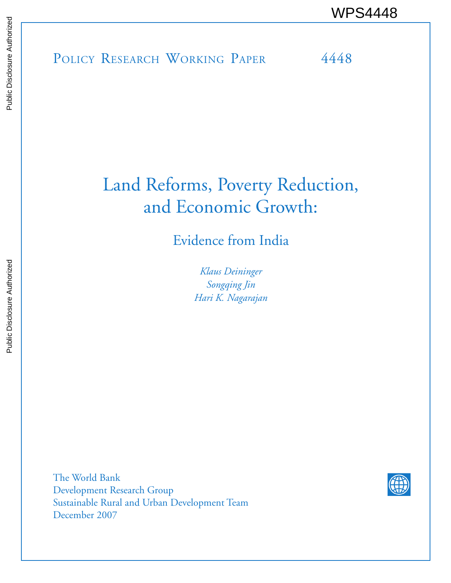# Land Reforms, Poverty Reduction, and Economic Growth:

Evidence from India

*Klaus Deininger Songqing Jin Hari K. Nagarajan*

The World Bank Development Research Group Sustainable Rural and Urban Development Team December 2007

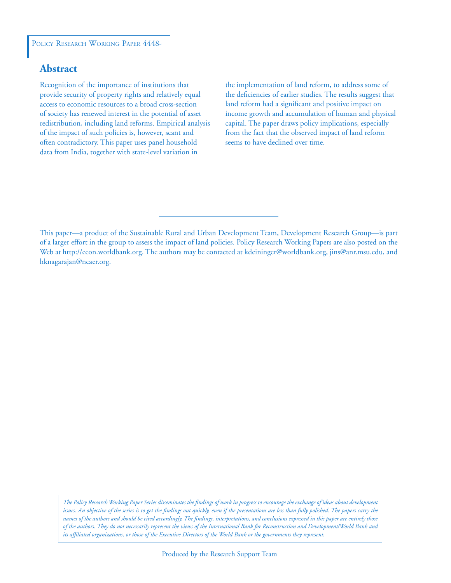POLICY RESEARCH WORKING PAPER 4448-

## **Abstract**

Recognition of the importance of institutions that provide security of property rights and relatively equal access to economic resources to a broad cross-section of society has renewed interest in the potential of asset redistribution, including land reforms. Empirical analysis of the impact of such policies is, however, scant and often contradictory. This paper uses panel household data from India, together with state-level variation in

the implementation of land reform, to address some of the deficiencies of earlier studies. The results suggest that land reform had a significant and positive impact on income growth and accumulation of human and physical capital. The paper draws policy implications, especially from the fact that the observed impact of land reform seems to have declined over time.

This paper—a product of the Sustainable Rural and Urban Development Team, Development Research Group—is part of a larger effort in the group to assess the impact of land policies. Policy Research Working Papers are also posted on the Web at http://econ.worldbank.org. The authors may be contacted at kdeininger@worldbank.org, jins@anr.msu.edu, and hknagarajan@ncaer.org.

*The Policy Research Working Paper Series disseminates the findings of work in progress to encourage the exchange of ideas about development issues. An objective of the series is to get the findings out quickly, even if the presentations are less than fully polished. The papers carry the names of the authors and should be cited accordingly. The findings, interpretations, and conclusions expressed in this paper are entirely those of the authors. They do not necessarily represent the views of the International Bank for Reconstruction and Development/World Bank and its affiliated organizations, or those of the Executive Directors of the World Bank or the governments they represent.*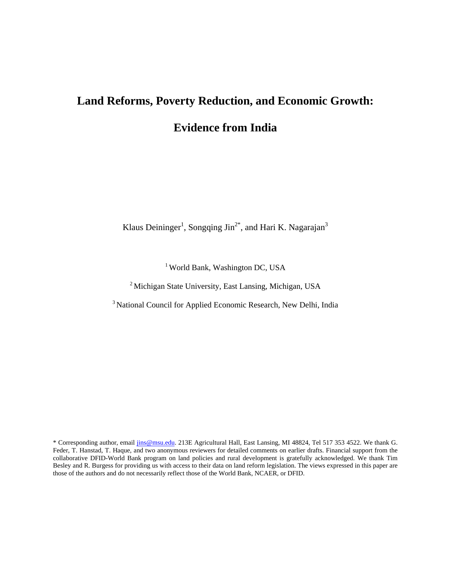## **Land Reforms, Poverty Reduction, and Economic Growth: Evidence from India**

Klaus Deininger<sup>1</sup>, Songqing Jin<sup>2\*</sup>, and Hari K. Nagarajan<sup>3</sup>

<sup>1</sup> World Bank, Washington DC, USA

<sup>2</sup> Michigan State University, East Lansing, Michigan, USA

<sup>3</sup> National Council for Applied Economic Research, New Delhi, India

\* Corresponding author, email [jins@msu.edu](mailto:jins@msu.edu). 213E Agricultural Hall, East Lansing, MI 48824, Tel 517 353 4522. We thank G. Feder, T. Hanstad, T. Haque, and two anonymous reviewers for detailed comments on earlier drafts. Financial support from the collaborative DFID-World Bank program on land policies and rural development is gratefully acknowledged. We thank Tim Besley and R. Burgess for providing us with access to their data on land reform legislation. The views expressed in this paper are those of the authors and do not necessarily reflect those of the World Bank, NCAER, or DFID.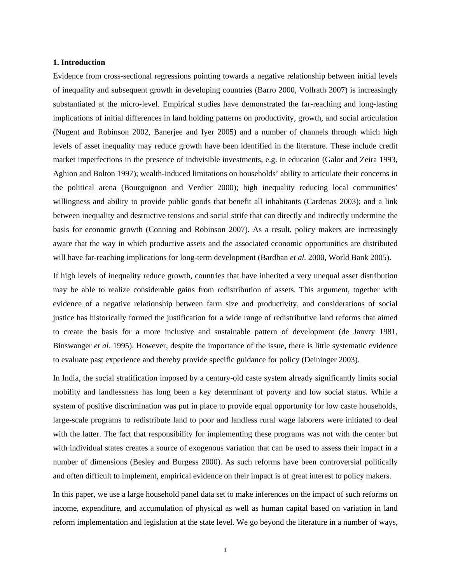#### **1. Introduction**

Evidence from cross-sectional regressions pointing towards a negative relationship between initial levels of inequality and subsequent growth in developing countries (Barro 2000, Vollrath 2007) is increasingly substantiated at the micro-level. Empirical studies have demonstrated the far-reaching and long-lasting implications of initial differences in land holding patterns on productivity, growth, and social articulation (Nugent and Robinson 2002, Banerjee and Iyer 2005) and a number of channels through which high levels of asset inequality may reduce growth have been identified in the literature. These include credit market imperfections in the presence of indivisible investments, e.g. in education (Galor and Zeira 1993, Aghion and Bolton 1997); wealth-induced limitations on households' ability to articulate their concerns in the political arena (Bourguignon and Verdier 2000); high inequality reducing local communities' willingness and ability to provide public goods that benefit all inhabitants (Cardenas 2003); and a link between inequality and destructive tensions and social strife that can directly and indirectly undermine the basis for economic growth (Conning and Robinson 2007). As a result, policy makers are increasingly aware that the way in which productive assets and the associated economic opportunities are distributed will have far-reaching implications for long-term development (Bardhan *et al.* 2000, World Bank 2005).

If high levels of inequality reduce growth, countries that have inherited a very unequal asset distribution may be able to realize considerable gains from redistribution of assets. This argument, together with evidence of a negative relationship between farm size and productivity, and considerations of social justice has historically formed the justification for a wide range of redistributive land reforms that aimed to create the basis for a more inclusive and sustainable pattern of development (de Janvry 1981, Binswanger *et al.* 1995). However, despite the importance of the issue, there is little systematic evidence to evaluate past experience and thereby provide specific guidance for policy (Deininger 2003).

In India, the social stratification imposed by a century-old caste system already significantly limits social mobility and landlessness has long been a key determinant of poverty and low social status. While a system of positive discrimination was put in place to provide equal opportunity for low caste households, large-scale programs to redistribute land to poor and landless rural wage laborers were initiated to deal with the latter. The fact that responsibility for implementing these programs was not with the center but with individual states creates a source of exogenous variation that can be used to assess their impact in a number of dimensions (Besley and Burgess 2000). As such reforms have been controversial politically and often difficult to implement, empirical evidence on their impact is of great interest to policy makers.

In this paper, we use a large household panel data set to make inferences on the impact of such reforms on income, expenditure, and accumulation of physical as well as human capital based on variation in land reform implementation and legislation at the state level. We go beyond the literature in a number of ways,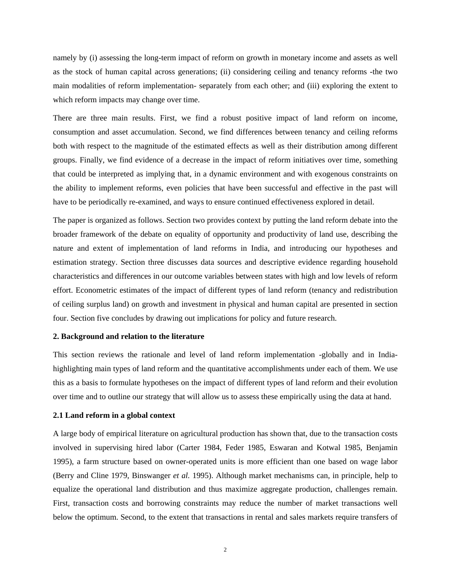namely by (i) assessing the long-term impact of reform on growth in monetary income and assets as well as the stock of human capital across generations; (ii) considering ceiling and tenancy reforms -the two main modalities of reform implementation- separately from each other; and (iii) exploring the extent to which reform impacts may change over time.

There are three main results. First, we find a robust positive impact of land reform on income, consumption and asset accumulation. Second, we find differences between tenancy and ceiling reforms both with respect to the magnitude of the estimated effects as well as their distribution among different groups. Finally, we find evidence of a decrease in the impact of reform initiatives over time, something that could be interpreted as implying that, in a dynamic environment and with exogenous constraints on the ability to implement reforms, even policies that have been successful and effective in the past will have to be periodically re-examined, and ways to ensure continued effectiveness explored in detail.

The paper is organized as follows. Section two provides context by putting the land reform debate into the broader framework of the debate on equality of opportunity and productivity of land use, describing the nature and extent of implementation of land reforms in India, and introducing our hypotheses and estimation strategy. Section three discusses data sources and descriptive evidence regarding household characteristics and differences in our outcome variables between states with high and low levels of reform effort. Econometric estimates of the impact of different types of land reform (tenancy and redistribution of ceiling surplus land) on growth and investment in physical and human capital are presented in section four. Section five concludes by drawing out implications for policy and future research.

#### **2. Background and relation to the literature**

This section reviews the rationale and level of land reform implementation -globally and in Indiahighlighting main types of land reform and the quantitative accomplishments under each of them. We use this as a basis to formulate hypotheses on the impact of different types of land reform and their evolution over time and to outline our strategy that will allow us to assess these empirically using the data at hand.

#### **2.1 Land reform in a global context**

A large body of empirical literature on agricultural production has shown that, due to the transaction costs involved in supervising hired labor (Carter 1984, Feder 1985, Eswaran and Kotwal 1985, Benjamin 1995), a farm structure based on owner-operated units is more efficient than one based on wage labor (Berry and Cline 1979, Binswanger *et al.* 1995). Although market mechanisms can, in principle, help to equalize the operational land distribution and thus maximize aggregate production, challenges remain. First, transaction costs and borrowing constraints may reduce the number of market transactions well below the optimum. Second, to the extent that transactions in rental and sales markets require transfers of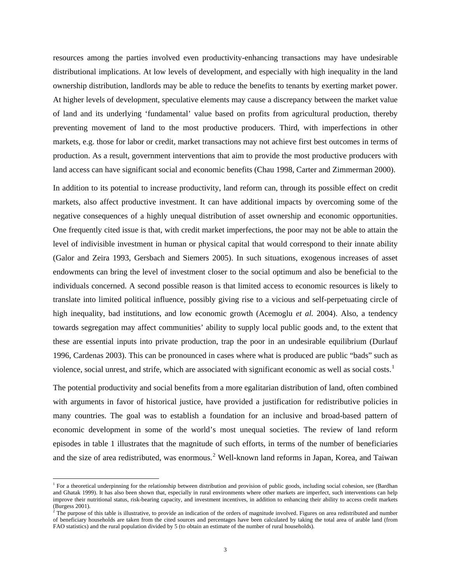resources among the parties involved even productivity-enhancing transactions may have undesirable distributional implications. At low levels of development, and especially with high inequality in the land ownership distribution, landlords may be able to reduce the benefits to tenants by exerting market power. At higher levels of development, speculative elements may cause a discrepancy between the market value of land and its underlying 'fundamental' value based on profits from agricultural production, thereby preventing movement of land to the most productive producers. Third, with imperfections in other markets, e.g. those for labor or credit, market transactions may not achieve first best outcomes in terms of production. As a result, government interventions that aim to provide the most productive producers with land access can have significant social and economic benefits (Chau 1998, Carter and Zimmerman 2000).

In addition to its potential to increase productivity, land reform can, through its possible effect on credit markets, also affect productive investment. It can have additional impacts by overcoming some of the negative consequences of a highly unequal distribution of asset ownership and economic opportunities. One frequently cited issue is that, with credit market imperfections, the poor may not be able to attain the level of indivisible investment in human or physical capital that would correspond to their innate ability (Galor and Zeira 1993, Gersbach and Siemers 2005). In such situations, exogenous increases of asset endowments can bring the level of investment closer to the social optimum and also be beneficial to the individuals concerned. A second possible reason is that limited access to economic resources is likely to translate into limited political influence, possibly giving rise to a vicious and self-perpetuating circle of high inequality, bad institutions, and low economic growth (Acemoglu *et al.* 2004). Also, a tendency towards segregation may affect communities' ability to supply local public goods and, to the extent that these are essential inputs into private production, trap the poor in an undesirable equilibrium (Durlauf 1996, Cardenas 2003). This can be pronounced in cases where what is produced are public "bads" such as violence, social unrest, and strife, which are associated with significant economic as well as social costs.<sup>[1](#page-5-0)</sup>

The potential productivity and social benefits from a more egalitarian distribution of land, often combined with arguments in favor of historical justice, have provided a justification for redistributive policies in many countries. The goal was to establish a foundation for an inclusive and broad-based pattern of economic development in some of the world's most unequal societies. The review of land reform episodes in table 1 illustrates that the magnitude of such efforts, in terms of the number of beneficiaries and the size of area redistributed, was enormous.<sup>[2](#page-5-1)</sup> Well-known land reforms in Japan, Korea, and Taiwan

 $\overline{a}$ 

<span id="page-5-0"></span><sup>&</sup>lt;sup>1</sup> For a theoretical underpinning for the relationship between distribution and provision of public goods, including social cohesion, see (Bardhan and Ghatak 1999). It has also been shown that, especially in rural environments where other markets are imperfect, such interventions can help improve their nutritional status, risk-bearing capacity, and investment incentives, in addition to enhancing their ability to access credit markets (Burgess 2001).<br><sup>2</sup> The purpose of this table is illustrative, to provide an indication of the orders of magnitude involved. Figures on area redistributed and number

<span id="page-5-1"></span>of beneficiary households are taken from the cited sources and percentages have been calculated by taking the total area of arable land (from FAO statistics) and the rural population divided by 5 (to obtain an estimate of the number of rural households).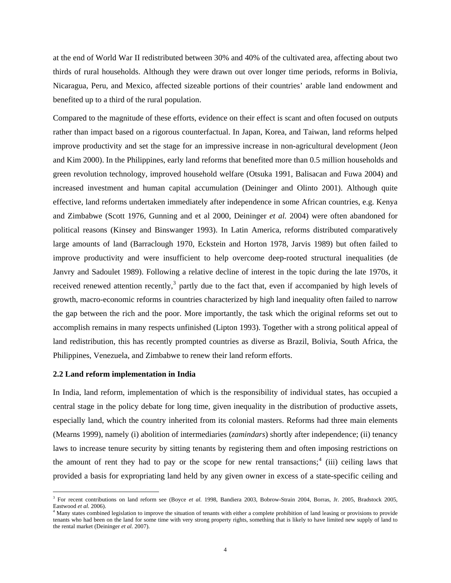at the end of World War II redistributed between 30% and 40% of the cultivated area, affecting about two thirds of rural households. Although they were drawn out over longer time periods, reforms in Bolivia, Nicaragua, Peru, and Mexico, affected sizeable portions of their countries' arable land endowment and benefited up to a third of the rural population.

Compared to the magnitude of these efforts, evidence on their effect is scant and often focused on outputs rather than impact based on a rigorous counterfactual. In Japan, Korea, and Taiwan, land reforms helped improve productivity and set the stage for an impressive increase in non-agricultural development (Jeon and Kim 2000). In the Philippines, early land reforms that benefited more than 0.5 million households and green revolution technology, improved household welfare (Otsuka 1991, Balisacan and Fuwa 2004) and increased investment and human capital accumulation (Deininger and Olinto 2001). Although quite effective, land reforms undertaken immediately after independence in some African countries, e.g. Kenya and Zimbabwe (Scott 1976, Gunning and et al 2000, Deininger *et al.* 2004) were often abandoned for political reasons (Kinsey and Binswanger 1993). In Latin America, reforms distributed comparatively large amounts of land (Barraclough 1970, Eckstein and Horton 1978, Jarvis 1989) but often failed to improve productivity and were insufficient to help overcome deep-rooted structural inequalities (de Janvry and Sadoulet 1989). Following a relative decline of interest in the topic during the late 1970s, it received renewed attention recently,<sup>[3](#page-6-0)</sup> partly due to the fact that, even if accompanied by high levels of growth, macro-economic reforms in countries characterized by high land inequality often failed to narrow the gap between the rich and the poor. More importantly, the task which the original reforms set out to accomplish remains in many respects unfinished (Lipton 1993). Together with a strong political appeal of land redistribution, this has recently prompted countries as diverse as Brazil, Bolivia, South Africa, the Philippines, Venezuela, and Zimbabwe to renew their land reform efforts.

#### **2.2 Land reform implementation in India**

 $\overline{a}$ 

In India, land reform, implementation of which is the responsibility of individual states, has occupied a central stage in the policy debate for long time, given inequality in the distribution of productive assets, especially land, which the country inherited from its colonial masters. Reforms had three main elements (Mearns 1999), namely (i) abolition of intermediaries (*zamindars*) shortly after independence; (ii) tenancy laws to increase tenure security by sitting tenants by registering them and often imposing restrictions on the amount of rent they had to pay or the scope for new rental transactions;<sup>[4](#page-6-1)</sup> (iii) ceiling laws that provided a basis for expropriating land held by any given owner in excess of a state-specific ceiling and

<span id="page-6-0"></span><sup>&</sup>lt;sup>3</sup> For recent contributions on land reform see (Boyce *et al.* 1998, Bandiera 2003, Bobrow-Strain 2004, Borras, Jr. 2005, Bradstock 2005, Eastwood et al. 2006).

<span id="page-6-1"></span><sup>&</sup>lt;sup>4</sup> Many states combined legislation to improve the situation of tenants with either a complete prohibition of land leasing or provisions to provide tenants who had been on the land for some time with very strong property rights, something that is likely to have limited new supply of land to the rental market (Deininger *et al.* 2007).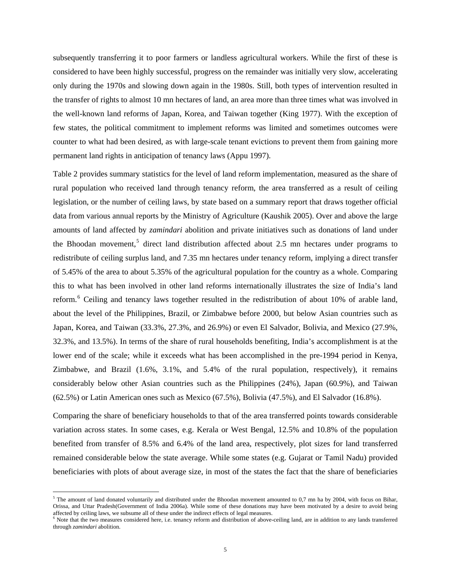subsequently transferring it to poor farmers or landless agricultural workers. While the first of these is considered to have been highly successful, progress on the remainder was initially very slow, accelerating only during the 1970s and slowing down again in the 1980s. Still, both types of intervention resulted in the transfer of rights to almost 10 mn hectares of land, an area more than three times what was involved in the well-known land reforms of Japan, Korea, and Taiwan together (King 1977). With the exception of few states, the political commitment to implement reforms was limited and sometimes outcomes were counter to what had been desired, as with large-scale tenant evictions to prevent them from gaining more permanent land rights in anticipation of tenancy laws (Appu 1997).

Table 2 provides summary statistics for the level of land reform implementation, measured as the share of rural population who received land through tenancy reform, the area transferred as a result of ceiling legislation, or the number of ceiling laws, by state based on a summary report that draws together official data from various annual reports by the Ministry of Agriculture (Kaushik 2005). Over and above the large amounts of land affected by *zamindari* abolition and private initiatives such as donations of land under the Bhoodan movement,<sup>[5](#page-7-0)</sup> direct land distribution affected about 2.5 mn hectares under programs to redistribute of ceiling surplus land, and 7.35 mn hectares under tenancy reform, implying a direct transfer of 5.45% of the area to about 5.35% of the agricultural population for the country as a whole. Comparing this to what has been involved in other land reforms internationally illustrates the size of India's land reform.<sup>[6](#page-7-1)</sup> Ceiling and tenancy laws together resulted in the redistribution of about 10% of arable land, about the level of the Philippines, Brazil, or Zimbabwe before 2000, but below Asian countries such as Japan, Korea, and Taiwan (33.3%, 27.3%, and 26.9%) or even El Salvador, Bolivia, and Mexico (27.9%, 32.3%, and 13.5%). In terms of the share of rural households benefiting, India's accomplishment is at the lower end of the scale; while it exceeds what has been accomplished in the pre-1994 period in Kenya, Zimbabwe, and Brazil (1.6%, 3.1%, and 5.4% of the rural population, respectively), it remains considerably below other Asian countries such as the Philippines (24%), Japan (60.9%), and Taiwan (62.5%) or Latin American ones such as Mexico (67.5%), Bolivia (47.5%), and El Salvador (16.8%).

Comparing the share of beneficiary households to that of the area transferred points towards considerable variation across states. In some cases, e.g. Kerala or West Bengal, 12.5% and 10.8% of the population benefited from transfer of 8.5% and 6.4% of the land area, respectively, plot sizes for land transferred remained considerable below the state average. While some states (e.g. Gujarat or Tamil Nadu) provided beneficiaries with plots of about average size, in most of the states the fact that the share of beneficiaries

 $\overline{a}$ 

<span id="page-7-0"></span> $5$  The amount of land donated voluntarily and distributed under the Bhoodan movement amounted to 0,7 mn ha by 2004, with focus on Bihar, Orissa, and Uttar Pradesh(Government of India 2006a). While some of these donations may have been motivated by a desire to avoid being affected by ceiling laws, we subsume all of these under the indirect effects of legal measures.<br><sup>6</sup> Note that the two measures considered here, i.e. tenancy reform and distribution of above-ceiling land, are in addition to

<span id="page-7-1"></span>through *zamindari* abolition.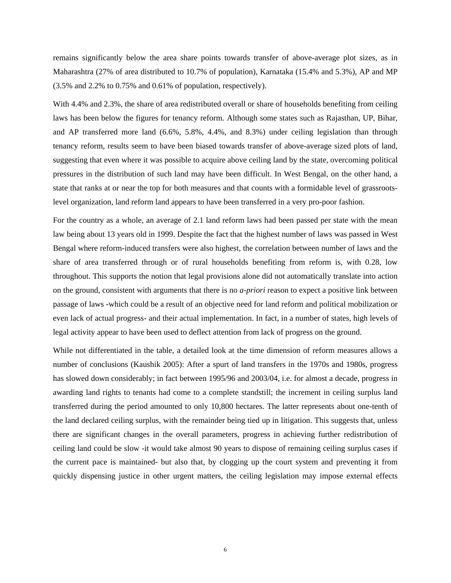remains significantly below the area share points towards transfer of above-average plot sizes, as in Maharashtra (27% of area distributed to 10.7% of population), Karnataka (15.4% and 5.3%), AP and MP (3.5% and 2.2% to 0.75% and 0.61% of population, respectively).

With 4.4% and 2.3%, the share of area redistributed overall or share of households benefiting from ceiling laws has been below the figures for tenancy reform. Although some states such as Rajasthan, UP, Bihar, and AP transferred more land (6.6%, 5.8%, 4.4%, and 8.3%) under ceiling legislation than through tenancy reform, results seem to have been biased towards transfer of above-average sized plots of land, suggesting that even where it was possible to acquire above ceiling land by the state, overcoming political pressures in the distribution of such land may have been difficult. In West Bengal, on the other hand, a state that ranks at or near the top for both measures and that counts with a formidable level of grassrootslevel organization, land reform land appears to have been transferred in a very pro-poor fashion.

For the country as a whole, an average of 2.1 land reform laws had been passed per state with the mean law being about 13 years old in 1999. Despite the fact that the highest number of laws was passed in West Bengal where reform-induced transfers were also highest, the correlation between number of laws and the share of area transferred through or of rural households benefiting from reform is, with 0.28, low throughout. This supports the notion that legal provisions alone did not automatically translate into action on the ground, consistent with arguments that there is no *a-priori* reason to expect a positive link between passage of laws -which could be a result of an objective need for land reform and political mobilization or even lack of actual progress- and their actual implementation. In fact, in a number of states, high levels of legal activity appear to have been used to deflect attention from lack of progress on the ground.

While not differentiated in the table, a detailed look at the time dimension of reform measures allows a number of conclusions (Kaushik 2005): After a spurt of land transfers in the 1970s and 1980s, progress has slowed down considerably; in fact between 1995/96 and 2003/04, i.e. for almost a decade, progress in awarding land rights to tenants had come to a complete standstill; the increment in ceiling surplus land transferred during the period amounted to only 10,800 hectares. The latter represents about one-tenth of the land declared ceiling surplus, with the remainder being tied up in litigation. This suggests that, unless there are significant changes in the overall parameters, progress in achieving further redistribution of ceiling land could be slow -it would take almost 90 years to dispose of remaining ceiling surplus cases if the current pace is maintained- but also that, by clogging up the court system and preventing it from quickly dispensing justice in other urgent matters, the ceiling legislation may impose external effects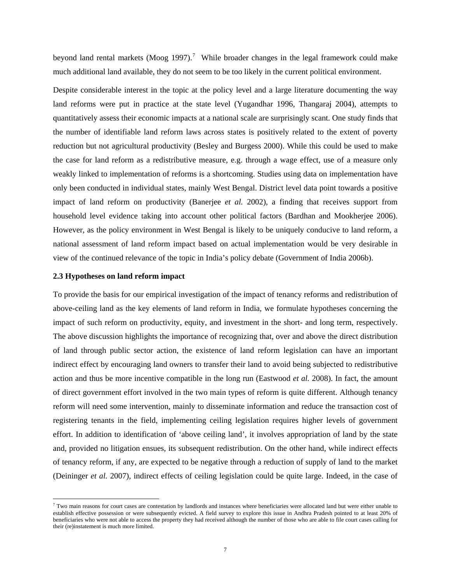beyond land rental markets (Moog 199[7](#page-9-0)).<sup>7</sup> While broader changes in the legal framework could make much additional land available, they do not seem to be too likely in the current political environment.

Despite considerable interest in the topic at the policy level and a large literature documenting the way land reforms were put in practice at the state level (Yugandhar 1996, Thangaraj 2004), attempts to quantitatively assess their economic impacts at a national scale are surprisingly scant. One study finds that the number of identifiable land reform laws across states is positively related to the extent of poverty reduction but not agricultural productivity (Besley and Burgess 2000). While this could be used to make the case for land reform as a redistributive measure, e.g. through a wage effect, use of a measure only weakly linked to implementation of reforms is a shortcoming. Studies using data on implementation have only been conducted in individual states, mainly West Bengal. District level data point towards a positive impact of land reform on productivity (Banerjee *et al.* 2002), a finding that receives support from household level evidence taking into account other political factors (Bardhan and Mookherjee 2006). However, as the policy environment in West Bengal is likely to be uniquely conducive to land reform, a national assessment of land reform impact based on actual implementation would be very desirable in view of the continued relevance of the topic in India's policy debate (Government of India 2006b).

#### **2.3 Hypotheses on land reform impact**

 $\overline{a}$ 

To provide the basis for our empirical investigation of the impact of tenancy reforms and redistribution of above-ceiling land as the key elements of land reform in India, we formulate hypotheses concerning the impact of such reform on productivity, equity, and investment in the short- and long term, respectively. The above discussion highlights the importance of recognizing that, over and above the direct distribution of land through public sector action, the existence of land reform legislation can have an important indirect effect by encouraging land owners to transfer their land to avoid being subjected to redistributive action and thus be more incentive compatible in the long run (Eastwood *et al.* 2008). In fact, the amount of direct government effort involved in the two main types of reform is quite different. Although tenancy reform will need some intervention, mainly to disseminate information and reduce the transaction cost of registering tenants in the field, implementing ceiling legislation requires higher levels of government effort. In addition to identification of 'above ceiling land', it involves appropriation of land by the state and, provided no litigation ensues, its subsequent redistribution. On the other hand, while indirect effects of tenancy reform, if any, are expected to be negative through a reduction of supply of land to the market (Deininger *et al.* 2007), indirect effects of ceiling legislation could be quite large. Indeed, in the case of

<span id="page-9-0"></span> $<sup>7</sup>$  Two main reasons for court cases are contestation by landlords and instances where beneficiaries were allocated land but were either unable to</sup> establish effective possession or were subsequently evicted. A field survey to explore this issue in Andhra Pradesh pointed to at least 20% of beneficiaries who were not able to access the property they had received although the number of those who are able to file court cases calling for their (re)instatement is much more limited.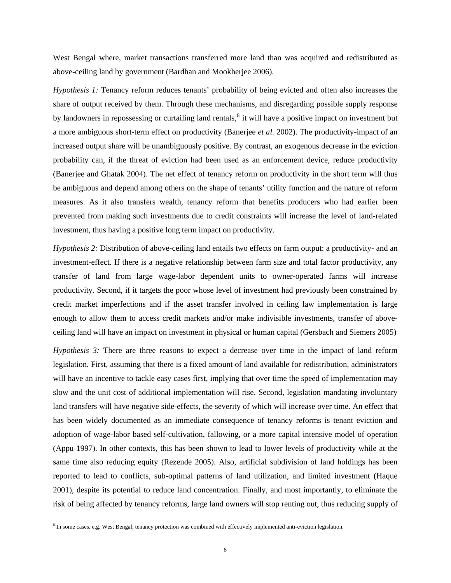West Bengal where, market transactions transferred more land than was acquired and redistributed as above-ceiling land by government (Bardhan and Mookherjee 2006).

*Hypothesis 1:* Tenancy reform reduces tenants' probability of being evicted and often also increases the share of output received by them. Through these mechanisms, and disregarding possible supply response by landowners in repossessing or curtailing land rentals,<sup>[8](#page-10-0)</sup> it will have a positive impact on investment but a more ambiguous short-term effect on productivity (Banerjee *et al.* 2002). The productivity-impact of an increased output share will be unambiguously positive. By contrast, an exogenous decrease in the eviction probability can, if the threat of eviction had been used as an enforcement device, reduce productivity (Banerjee and Ghatak 2004). The net effect of tenancy reform on productivity in the short term will thus be ambiguous and depend among others on the shape of tenants' utility function and the nature of reform measures. As it also transfers wealth, tenancy reform that benefits producers who had earlier been prevented from making such investments due to credit constraints will increase the level of land-related investment, thus having a positive long term impact on productivity.

*Hypothesis 2:* Distribution of above-ceiling land entails two effects on farm output: a productivity- and an investment-effect. If there is a negative relationship between farm size and total factor productivity, any transfer of land from large wage-labor dependent units to owner-operated farms will increase productivity. Second, if it targets the poor whose level of investment had previously been constrained by credit market imperfections and if the asset transfer involved in ceiling law implementation is large enough to allow them to access credit markets and/or make indivisible investments, transfer of aboveceiling land will have an impact on investment in physical or human capital (Gersbach and Siemers 2005)

*Hypothesis 3:* There are three reasons to expect a decrease over time in the impact of land reform legislation. First, assuming that there is a fixed amount of land available for redistribution, administrators will have an incentive to tackle easy cases first, implying that over time the speed of implementation may slow and the unit cost of additional implementation will rise. Second, legislation mandating involuntary land transfers will have negative side-effects, the severity of which will increase over time. An effect that has been widely documented as an immediate consequence of tenancy reforms is tenant eviction and adoption of wage-labor based self-cultivation, fallowing, or a more capital intensive model of operation (Appu 1997). In other contexts, this has been shown to lead to lower levels of productivity while at the same time also reducing equity (Rezende 2005). Also, artificial subdivision of land holdings has been reported to lead to conflicts, sub-optimal patterns of land utilization, and limited investment (Haque 2001), despite its potential to reduce land concentration. Finally, and most importantly, to eliminate the risk of being affected by tenancy reforms, large land owners will stop renting out, thus reducing supply of

<span id="page-10-0"></span><sup>&</sup>lt;sup>8</sup> In some cases, e.g. West Bengal, tenancy protection was combined with effectively implemented anti-eviction legislation.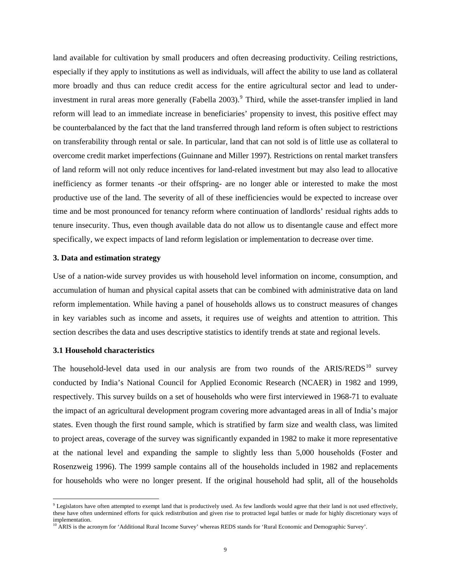land available for cultivation by small producers and often decreasing productivity. Ceiling restrictions, especially if they apply to institutions as well as individuals, will affect the ability to use land as collateral more broadly and thus can reduce credit access for the entire agricultural sector and lead to under-investment in rural areas more generally (Fabella 2003).<sup>[9](#page-11-0)</sup> Third, while the asset-transfer implied in land reform will lead to an immediate increase in beneficiaries' propensity to invest, this positive effect may be counterbalanced by the fact that the land transferred through land reform is often subject to restrictions on transferability through rental or sale. In particular, land that can not sold is of little use as collateral to overcome credit market imperfections (Guinnane and Miller 1997). Restrictions on rental market transfers of land reform will not only reduce incentives for land-related investment but may also lead to allocative inefficiency as former tenants -or their offspring- are no longer able or interested to make the most productive use of the land. The severity of all of these inefficiencies would be expected to increase over time and be most pronounced for tenancy reform where continuation of landlords' residual rights adds to tenure insecurity. Thus, even though available data do not allow us to disentangle cause and effect more specifically, we expect impacts of land reform legislation or implementation to decrease over time.

#### **3. Data and estimation strategy**

Use of a nation-wide survey provides us with household level information on income, consumption, and accumulation of human and physical capital assets that can be combined with administrative data on land reform implementation. While having a panel of households allows us to construct measures of changes in key variables such as income and assets, it requires use of weights and attention to attrition. This section describes the data and uses descriptive statistics to identify trends at state and regional levels.

#### **3.1 Household characteristics**

 $\overline{a}$ 

The household-level data used in our analysis are from two rounds of the  $ARIS/REDS<sup>10</sup>$  $ARIS/REDS<sup>10</sup>$  $ARIS/REDS<sup>10</sup>$  survey conducted by India's National Council for Applied Economic Research (NCAER) in 1982 and 1999, respectively. This survey builds on a set of households who were first interviewed in 1968-71 to evaluate the impact of an agricultural development program covering more advantaged areas in all of India's major states. Even though the first round sample, which is stratified by farm size and wealth class, was limited to project areas, coverage of the survey was significantly expanded in 1982 to make it more representative at the national level and expanding the sample to slightly less than 5,000 households (Foster and Rosenzweig 1996). The 1999 sample contains all of the households included in 1982 and replacements for households who were no longer present. If the original household had split, all of the households

<span id="page-11-0"></span> $9$  Legislators have often attempted to exempt land that is productively used. As few landlords would agree that their land is not used effectively, these have often undermined efforts for quick redistribution and given rise to protracted legal battles or made for highly discretionary ways of implementation.

<span id="page-11-1"></span><sup>&</sup>lt;sup>10</sup> ARIS is the acronym for 'Additional Rural Income Survey' whereas REDS stands for 'Rural Economic and Demographic Survey'.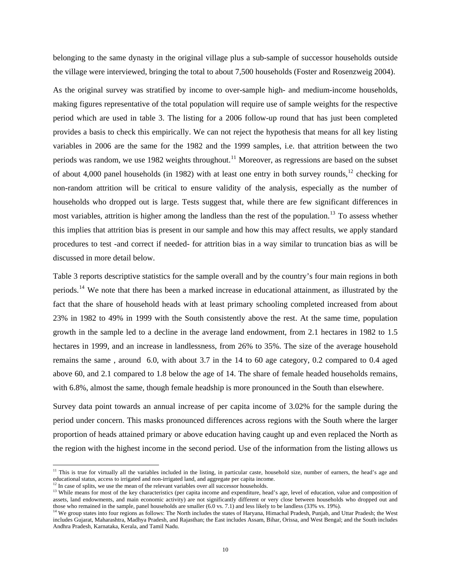belonging to the same dynasty in the original village plus a sub-sample of successor households outside the village were interviewed, bringing the total to about 7,500 households (Foster and Rosenzweig 2004).

As the original survey was stratified by income to over-sample high- and medium-income households, making figures representative of the total population will require use of sample weights for the respective period which are used in table 3. The listing for a 2006 follow-up round that has just been completed provides a basis to check this empirically. We can not reject the hypothesis that means for all key listing variables in 2006 are the same for the 1982 and the 1999 samples, i.e. that attrition between the two periods was random, we use 1982 weights throughout.<sup>[11](#page-12-0)</sup> Moreover, as regressions are based on the subset of about 4,000 panel households (in 1982) with at least one entry in both survey rounds,<sup>[12](#page-12-1)</sup> checking for non-random attrition will be critical to ensure validity of the analysis, especially as the number of households who dropped out is large. Tests suggest that, while there are few significant differences in most variables, attrition is higher among the landless than the rest of the population.<sup>[13](#page-12-2)</sup> To assess whether this implies that attrition bias is present in our sample and how this may affect results, we apply standard procedures to test -and correct if needed- for attrition bias in a way similar to truncation bias as will be discussed in more detail below.

Table 3 reports descriptive statistics for the sample overall and by the country's four main regions in both periods.[14](#page-12-3) We note that there has been a marked increase in educational attainment, as illustrated by the fact that the share of household heads with at least primary schooling completed increased from about 23% in 1982 to 49% in 1999 with the South consistently above the rest. At the same time, population growth in the sample led to a decline in the average land endowment, from 2.1 hectares in 1982 to 1.5 hectares in 1999, and an increase in landlessness, from 26% to 35%. The size of the average household remains the same , around 6.0, with about 3.7 in the 14 to 60 age category, 0.2 compared to 0.4 aged above 60, and 2.1 compared to 1.8 below the age of 14. The share of female headed households remains, with 6.8%, almost the same, though female headship is more pronounced in the South than elsewhere.

Survey data point towards an annual increase of per capita income of 3.02% for the sample during the period under concern. This masks pronounced differences across regions with the South where the larger proportion of heads attained primary or above education having caught up and even replaced the North as the region with the highest income in the second period. Use of the information from the listing allows us

 $\overline{a}$ 

<span id="page-12-0"></span><sup>&</sup>lt;sup>11</sup> This is true for virtually all the variables included in the listing, in particular caste, household size, number of earners, the head's age and educational status, access to irrigated and non-irrigated land, and agg

<span id="page-12-2"></span><span id="page-12-1"></span><sup>&</sup>lt;sup>13</sup> While means for most of the key characteristics (per capita income and expenditure, head's age, level of education, value and composition of assets, land endowments, and main economic activity) are not significantly different or very close between households who dropped out and those who remained in the sample, panel households are smaller (6.0 vs. 7.1) and less likely to be landless (33% vs. 19%).<br><sup>14</sup> We group states into four regions as follows: The North includes the states of Haryana, Himach

<span id="page-12-3"></span>includes Gujarat, Maharashtra, Madhya Pradesh, and Rajasthan; the East includes Assam, Bihar, Orissa, and West Bengal; and the South includes Andhra Pradesh, Karnataka, Kerala, and Tamil Nadu.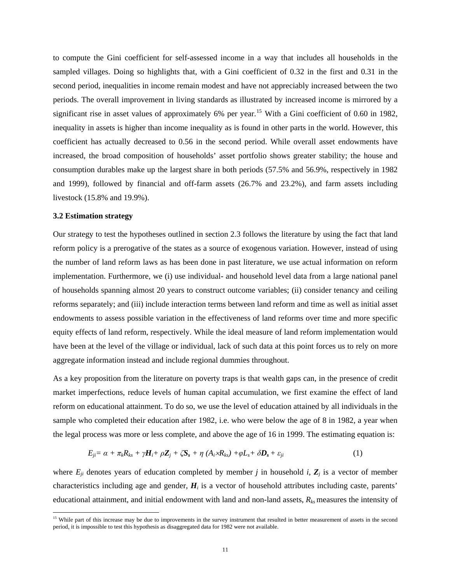to compute the Gini coefficient for self-assessed income in a way that includes all households in the sampled villages. Doing so highlights that, with a Gini coefficient of 0.32 in the first and 0.31 in the second period, inequalities in income remain modest and have not appreciably increased between the two periods. The overall improvement in living standards as illustrated by increased income is mirrored by a significant rise in asset values of approximately 6% per year.<sup>[15](#page-13-0)</sup> With a Gini coefficient of 0.60 in 1982, inequality in assets is higher than income inequality as is found in other parts in the world. However, this coefficient has actually decreased to 0.56 in the second period. While overall asset endowments have increased, the broad composition of households' asset portfolio shows greater stability; the house and consumption durables make up the largest share in both periods (57.5% and 56.9%, respectively in 1982 and 1999), followed by financial and off-farm assets (26.7% and 23.2%), and farm assets including livestock (15.8% and 19.9%).

#### **3.2 Estimation strategy**

 $\overline{a}$ 

Our strategy to test the hypotheses outlined in section 2.3 follows the literature by using the fact that land reform policy is a prerogative of the states as a source of exogenous variation. However, instead of using the number of land reform laws as has been done in past literature, we use actual information on reform implementation. Furthermore, we (i) use individual- and household level data from a large national panel of households spanning almost 20 years to construct outcome variables; (ii) consider tenancy and ceiling reforms separately; and (iii) include interaction terms between land reform and time as well as initial asset endowments to assess possible variation in the effectiveness of land reforms over time and more specific equity effects of land reform, respectively. While the ideal measure of land reform implementation would have been at the level of the village or individual, lack of such data at this point forces us to rely on more aggregate information instead and include regional dummies throughout.

As a key proposition from the literature on poverty traps is that wealth gaps can, in the presence of credit market imperfections, reduce levels of human capital accumulation, we first examine the effect of land reform on educational attainment. To do so, we use the level of education attained by all individuals in the sample who completed their education after 1982, i.e. who were below the age of 8 in 1982, a year when the legal process was more or less complete, and above the age of 16 in 1999. The estimating equation is:

$$
E_{ji} = \alpha + \pi_k R_{ks} + \gamma H_i + \rho Z_j + \zeta S_s + \eta (A_i \times R_{ks}) + \varphi L_s + \delta D_s + \varepsilon_{ji}
$$
\n(1)

where  $E_{ji}$  denotes years of education completed by member *j* in household *i*,  $\mathbf{Z}_j$  is a vector of member characteristics including age and gender, *Hi* is a vector of household attributes including caste, parents' educational attainment, and initial endowment with land and non-land assets, *Rks* measures the intensity of

<span id="page-13-0"></span><sup>&</sup>lt;sup>15</sup> While part of this increase may be due to improvements in the survey instrument that resulted in better measurement of assets in the second period, it is impossible to test this hypothesis as disaggregated data for 1982 were not available.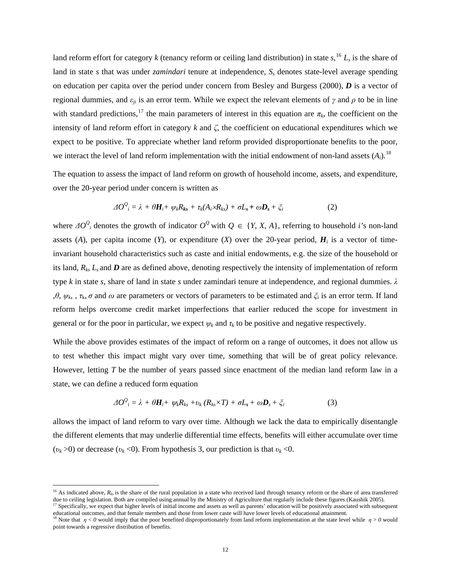land reform effort for category *k* (tenancy reform or ceiling land distribution) in state *s*, <sup>[16](#page-14-0)</sup> *L<sub>s</sub>* is the share of land in state *s* that was under *zamindari* tenure at independence, *Ss* denotes state-level average spending on education per capita over the period under concern from Besley and Burgess (2000), *D* is a vector of regional dummies, and  $ε_{ji}$  is an error term. While we expect the relevant elements of *γ* and *ρ* to be in line with standard predictions,<sup>[17](#page-14-1)</sup> the main parameters of interest in this equation are  $\pi_k$ , the coefficient on the intensity of land reform effort in category *k* and *ζ*, the coefficient on educational expenditures which we expect to be positive. To appreciate whether land reform provided disproportionate benefits to the poor, we interact the level of land reform implementation with the initial endowment of non-land assets  $(A_i)$ .<sup>[18](#page-14-2)</sup>

The equation to assess the impact of land reform on growth of household income, assets, and expenditure, over the 20-year period under concern is written as

$$
\Delta O_{i}^{Q} = \lambda + \theta \mathbf{H}_{i} + \psi_{k} R_{ks} + \tau_{k} (A_{i} \times R_{ks}) + \sigma L_{s} + \omega \mathbf{D}_{s} + \zeta_{i}
$$
 (2)

where  $\Delta O^Q$  denotes the growth of indicator  $O^Q$  with  $Q \in \{Y, X, A\}$ , referring to household *i*'s non-land assets (*A*), per capita income (*Y*), or expenditure (*X*) over the 20-year period,  $H_i$  is a vector of timeinvariant household characteristics such as caste and initial endowments, e.g. the size of the household or its land,  $R_{ks} L_s$  and  $D$  are as defined above, denoting respectively the intensity of implementation of reform type *k* in state *s,* share of land in state *s* under zamindari tenure at independence, and regional dummies. *λ ,θ,*  $ψ$ *<sub>k</sub>,*  $τ$ *<sub>k</sub>,*  $σ$  *and*  $ω$  *are parameters or vectors of parameters to be estimated and*  $ξ$ *<i>i* is an error term. If land reform helps overcome credit market imperfections that earlier reduced the scope for investment in general or for the poor in particular, we expect  $\psi_k$  and  $\tau_k$  to be positive and negative respectively.

While the above provides estimates of the impact of reform on a range of outcomes, it does not allow us to test whether this impact might vary over time, something that will be of great policy relevance. However, letting *T* be the number of years passed since enactment of the median land reform law in a state, we can define a reduced form equation

$$
\Delta O_{i}^{Q} = \lambda + \theta \mathbf{H}_{i} + \psi_{k} R_{ks} + v_{k} (R_{ks} \times T) + \sigma L_{s} + \omega \mathbf{D}_{s} + \zeta_{i}
$$
(3)

allows the impact of land reform to vary over time. Although we lack the data to empirically disentangle the different elements that may underlie differential time effects, benefits will either accumulate over time ( $v_k$  >0) or decrease ( $v_k$  <0). From hypothesis 3, our prediction is that  $v_k$  <0.

 $\overline{a}$ 

<span id="page-14-0"></span><sup>&</sup>lt;sup>16</sup> As indicated above,  $R_{ks}$  is the share of the rural population in a state who received land through tenancy reform or the share of area transferred due to ceiling legislation. Both are compiled using annual by the M <sup>17</sup> Specifically, we expect that higher levels of initial income and assets as well as parents' education will be positively associated with subsequent

<span id="page-14-1"></span>educational outcomes, and that female members and those from lower caste will have lower levels of educational attainment.<br><sup>18</sup> Note that  $\eta < 0$  would imply that the poor benefited disproportionately from land reform imp

<span id="page-14-2"></span>point towards a regressive distribution of benefits.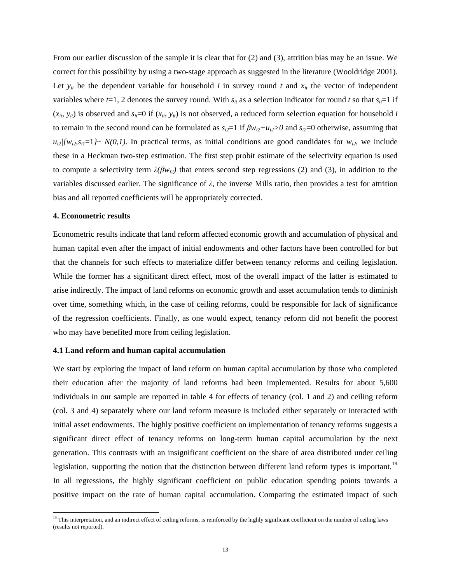From our earlier discussion of the sample it is clear that for (2) and (3), attrition bias may be an issue. We correct for this possibility by using a two-stage approach as suggested in the literature (Wooldridge 2001). Let  $y_{it}$  be the dependent variable for household *i* in survey round *t* and  $x_{it}$  the vector of independent variables where  $t=1$ , 2 denotes the survey round. With  $s_{it}$  as a selection indicator for round *t* so that  $s_{it}=1$  if  $(x_{it}, y_{it})$  is observed and  $s_{it}=0$  if  $(x_{it}, y_{it})$  is not observed, a reduced form selection equation for household *i* to remain in the second round can be formulated as  $s_{i2}=1$  if  $\beta w_{i2}+u_{i2}>0$  and  $s_{i2}=0$  otherwise, assuming that  $u_{i2}/\{w_{i2}, s_{i1}=1\}$   $\sim N(0,1)$ . In practical terms, as initial conditions are good candidates for  $w_{i2}$ , we include these in a Heckman two-step estimation. The first step probit estimate of the selectivity equation is used to compute a selectivity term  $\lambda(\beta w_{i2})$  that enters second step regressions (2) and (3), in addition to the variables discussed earlier. The significance of  $\lambda$ , the inverse Mills ratio, then provides a test for attrition bias and all reported coefficients will be appropriately corrected.

#### **4. Econometric results**

 $\overline{a}$ 

Econometric results indicate that land reform affected economic growth and accumulation of physical and human capital even after the impact of initial endowments and other factors have been controlled for but that the channels for such effects to materialize differ between tenancy reforms and ceiling legislation. While the former has a significant direct effect, most of the overall impact of the latter is estimated to arise indirectly. The impact of land reforms on economic growth and asset accumulation tends to diminish over time, something which, in the case of ceiling reforms, could be responsible for lack of significance of the regression coefficients. Finally, as one would expect, tenancy reform did not benefit the poorest who may have benefited more from ceiling legislation.

#### **4.1 Land reform and human capital accumulation**

We start by exploring the impact of land reform on human capital accumulation by those who completed their education after the majority of land reforms had been implemented. Results for about 5,600 individuals in our sample are reported in table 4 for effects of tenancy (col. 1 and 2) and ceiling reform (col. 3 and 4) separately where our land reform measure is included either separately or interacted with initial asset endowments. The highly positive coefficient on implementation of tenancy reforms suggests a significant direct effect of tenancy reforms on long-term human capital accumulation by the next generation. This contrasts with an insignificant coefficient on the share of area distributed under ceiling legislation, supporting the notion that the distinction between different land reform types is important.<sup>[19](#page-15-0)</sup> In all regressions, the highly significant coefficient on public education spending points towards a positive impact on the rate of human capital accumulation. Comparing the estimated impact of such

<span id="page-15-0"></span><sup>&</sup>lt;sup>19</sup> This interpretation, and an indirect effect of ceiling reforms, is reinforced by the highly significant coefficient on the number of ceiling laws (results not reported).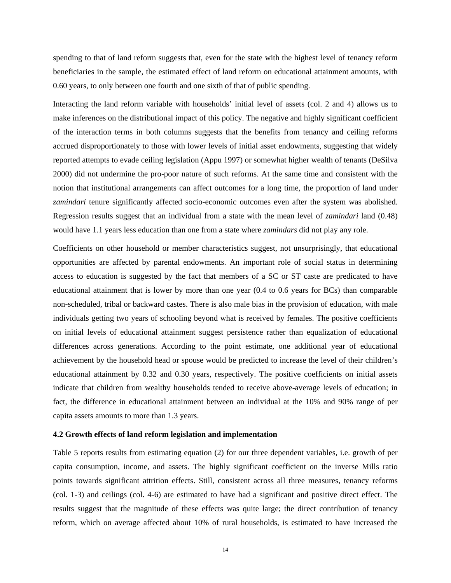spending to that of land reform suggests that, even for the state with the highest level of tenancy reform beneficiaries in the sample, the estimated effect of land reform on educational attainment amounts, with 0.60 years, to only between one fourth and one sixth of that of public spending.

Interacting the land reform variable with households' initial level of assets (col. 2 and 4) allows us to make inferences on the distributional impact of this policy. The negative and highly significant coefficient of the interaction terms in both columns suggests that the benefits from tenancy and ceiling reforms accrued disproportionately to those with lower levels of initial asset endowments, suggesting that widely reported attempts to evade ceiling legislation (Appu 1997) or somewhat higher wealth of tenants (DeSilva 2000) did not undermine the pro-poor nature of such reforms. At the same time and consistent with the notion that institutional arrangements can affect outcomes for a long time, the proportion of land under *zamindari* tenure significantly affected socio-economic outcomes even after the system was abolished. Regression results suggest that an individual from a state with the mean level of *zamindari* land (0.48) would have 1.1 years less education than one from a state where *zamindars* did not play any role.

Coefficients on other household or member characteristics suggest, not unsurprisingly, that educational opportunities are affected by parental endowments. An important role of social status in determining access to education is suggested by the fact that members of a SC or ST caste are predicated to have educational attainment that is lower by more than one year (0.4 to 0.6 years for BCs) than comparable non-scheduled, tribal or backward castes. There is also male bias in the provision of education, with male individuals getting two years of schooling beyond what is received by females. The positive coefficients on initial levels of educational attainment suggest persistence rather than equalization of educational differences across generations. According to the point estimate, one additional year of educational achievement by the household head or spouse would be predicted to increase the level of their children's educational attainment by 0.32 and 0.30 years, respectively. The positive coefficients on initial assets indicate that children from wealthy households tended to receive above-average levels of education; in fact, the difference in educational attainment between an individual at the 10% and 90% range of per capita assets amounts to more than 1.3 years.

#### **4.2 Growth effects of land reform legislation and implementation**

Table 5 reports results from estimating equation (2) for our three dependent variables, i.e. growth of per capita consumption, income, and assets. The highly significant coefficient on the inverse Mills ratio points towards significant attrition effects. Still, consistent across all three measures, tenancy reforms (col. 1-3) and ceilings (col. 4-6) are estimated to have had a significant and positive direct effect. The results suggest that the magnitude of these effects was quite large; the direct contribution of tenancy reform, which on average affected about 10% of rural households, is estimated to have increased the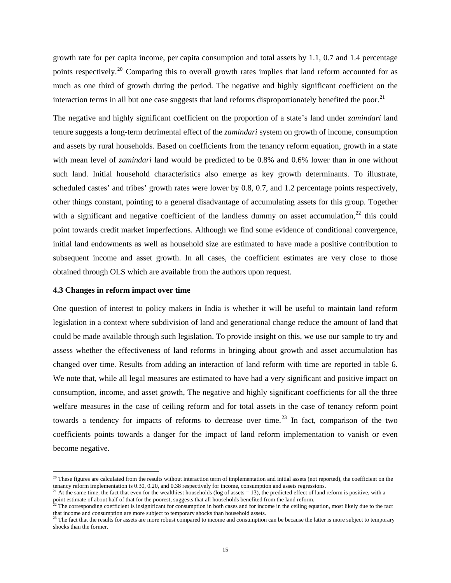growth rate for per capita income, per capita consumption and total assets by 1.1, 0.7 and 1.4 percentage points respectively.<sup>[20](#page-17-0)</sup> Comparing this to overall growth rates implies that land reform accounted for as much as one third of growth during the period. The negative and highly significant coefficient on the interaction terms in all but one case suggests that land reforms disproportionately benefited the poor.<sup>[21](#page-17-1)</sup>

The negative and highly significant coefficient on the proportion of a state's land under *zamindari* land tenure suggests a long-term detrimental effect of the *zamindari* system on growth of income, consumption and assets by rural households. Based on coefficients from the tenancy reform equation, growth in a state with mean level of *zamindari* land would be predicted to be 0.8% and 0.6% lower than in one without such land. Initial household characteristics also emerge as key growth determinants. To illustrate, scheduled castes' and tribes' growth rates were lower by 0.8, 0.7, and 1.2 percentage points respectively, other things constant, pointing to a general disadvantage of accumulating assets for this group. Together with a significant and negative coefficient of the landless dummy on asset accumulation.<sup>[22](#page-17-2)</sup> this could point towards credit market imperfections. Although we find some evidence of conditional convergence, initial land endowments as well as household size are estimated to have made a positive contribution to subsequent income and asset growth. In all cases, the coefficient estimates are very close to those obtained through OLS which are available from the authors upon request.

#### **4.3 Changes in reform impact over time**

 $\overline{a}$ 

One question of interest to policy makers in India is whether it will be useful to maintain land reform legislation in a context where subdivision of land and generational change reduce the amount of land that could be made available through such legislation. To provide insight on this, we use our sample to try and assess whether the effectiveness of land reforms in bringing about growth and asset accumulation has changed over time. Results from adding an interaction of land reform with time are reported in table 6. We note that, while all legal measures are estimated to have had a very significant and positive impact on consumption, income, and asset growth, The negative and highly significant coefficients for all the three welfare measures in the case of ceiling reform and for total assets in the case of tenancy reform point towards a tendency for impacts of reforms to decrease over time.<sup>[23](#page-17-3)</sup> In fact, comparison of the two coefficients points towards a danger for the impact of land reform implementation to vanish or even become negative.

<sup>&</sup>lt;sup>20</sup> These figures are calculated from the results without interaction term of implementation and initial assets (not reported), the coefficient on the

<span id="page-17-1"></span><span id="page-17-0"></span>tenancy reform implementation is 0.30, 0.20, and 0.38 respectively for income, consumption and assets regressions.<br><sup>21</sup> At the same time, the fact that even for the wealthiest households (log of assets = 13), the predicte

<span id="page-17-2"></span>The corresponding coefficient is insignificant for consumption in both cases and for income in the ceiling equation, most likely due to the fact that income and consumption are more subject to temporary shocks than household assets.<br><sup>23</sup> The fact that the results for assets are more robust compared to income and consumption can be because the latter is more subject

<span id="page-17-3"></span>shocks than the former.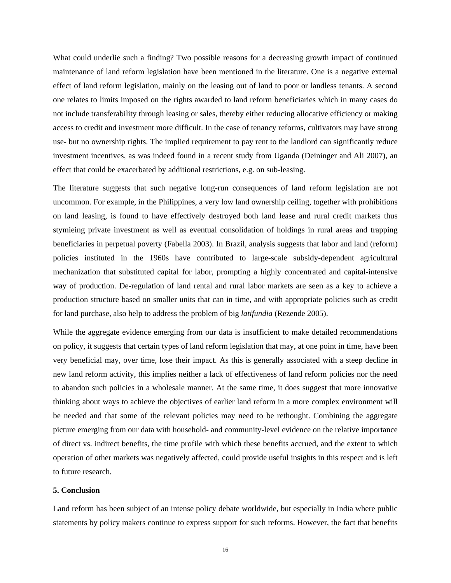What could underlie such a finding? Two possible reasons for a decreasing growth impact of continued maintenance of land reform legislation have been mentioned in the literature. One is a negative external effect of land reform legislation, mainly on the leasing out of land to poor or landless tenants. A second one relates to limits imposed on the rights awarded to land reform beneficiaries which in many cases do not include transferability through leasing or sales, thereby either reducing allocative efficiency or making access to credit and investment more difficult. In the case of tenancy reforms, cultivators may have strong use- but no ownership rights. The implied requirement to pay rent to the landlord can significantly reduce investment incentives, as was indeed found in a recent study from Uganda (Deininger and Ali 2007), an effect that could be exacerbated by additional restrictions, e.g. on sub-leasing.

The literature suggests that such negative long-run consequences of land reform legislation are not uncommon. For example, in the Philippines, a very low land ownership ceiling, together with prohibitions on land leasing, is found to have effectively destroyed both land lease and rural credit markets thus stymieing private investment as well as eventual consolidation of holdings in rural areas and trapping beneficiaries in perpetual poverty (Fabella 2003). In Brazil, analysis suggests that labor and land (reform) policies instituted in the 1960s have contributed to large-scale subsidy-dependent agricultural mechanization that substituted capital for labor, prompting a highly concentrated and capital-intensive way of production. De-regulation of land rental and rural labor markets are seen as a key to achieve a production structure based on smaller units that can in time, and with appropriate policies such as credit for land purchase, also help to address the problem of big *latifundia* (Rezende 2005).

While the aggregate evidence emerging from our data is insufficient to make detailed recommendations on policy, it suggests that certain types of land reform legislation that may, at one point in time, have been very beneficial may, over time, lose their impact. As this is generally associated with a steep decline in new land reform activity, this implies neither a lack of effectiveness of land reform policies nor the need to abandon such policies in a wholesale manner. At the same time, it does suggest that more innovative thinking about ways to achieve the objectives of earlier land reform in a more complex environment will be needed and that some of the relevant policies may need to be rethought. Combining the aggregate picture emerging from our data with household- and community-level evidence on the relative importance of direct vs. indirect benefits, the time profile with which these benefits accrued, and the extent to which operation of other markets was negatively affected, could provide useful insights in this respect and is left to future research.

### **5. Conclusion**

Land reform has been subject of an intense policy debate worldwide, but especially in India where public statements by policy makers continue to express support for such reforms. However, the fact that benefits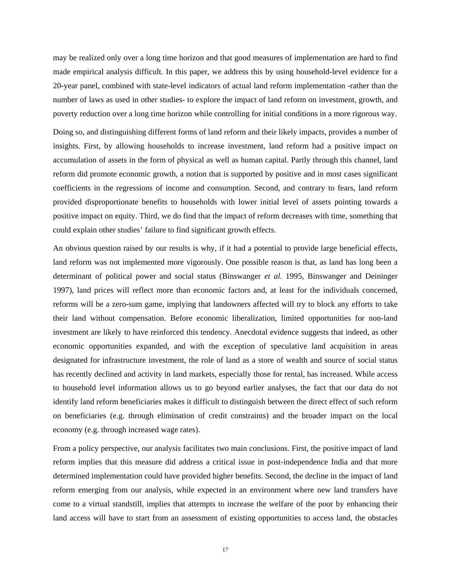may be realized only over a long time horizon and that good measures of implementation are hard to find made empirical analysis difficult. In this paper, we address this by using household-level evidence for a 20-year panel, combined with state-level indicators of actual land reform implementation -rather than the number of laws as used in other studies- to explore the impact of land reform on investment, growth, and poverty reduction over a long time horizon while controlling for initial conditions in a more rigorous way.

Doing so, and distinguishing different forms of land reform and their likely impacts, provides a number of insights. First, by allowing households to increase investment, land reform had a positive impact on accumulation of assets in the form of physical as well as human capital. Partly through this channel, land reform did promote economic growth, a notion that is supported by positive and in most cases significant coefficients in the regressions of income and consumption. Second, and contrary to fears, land reform provided disproportionate benefits to households with lower initial level of assets pointing towards a positive impact on equity. Third, we do find that the impact of reform decreases with time, something that could explain other studies' failure to find significant growth effects.

An obvious question raised by our results is why, if it had a potential to provide large beneficial effects, land reform was not implemented more vigorously. One possible reason is that, as land has long been a determinant of political power and social status (Binswanger *et al.* 1995, Binswanger and Deininger 1997), land prices will reflect more than economic factors and, at least for the individuals concerned, reforms will be a zero-sum game, implying that landowners affected will try to block any efforts to take their land without compensation. Before economic liberalization, limited opportunities for non-land investment are likely to have reinforced this tendency. Anecdotal evidence suggests that indeed, as other economic opportunities expanded, and with the exception of speculative land acquisition in areas designated for infrastructure investment, the role of land as a store of wealth and source of social status has recently declined and activity in land markets, especially those for rental, has increased. While access to household level information allows us to go beyond earlier analyses, the fact that our data do not identify land reform beneficiaries makes it difficult to distinguish between the direct effect of such reform on beneficiaries (e.g. through elimination of credit constraints) and the broader impact on the local economy (e.g. through increased wage rates).

From a policy perspective, our analysis facilitates two main conclusions. First, the positive impact of land reform implies that this measure did address a critical issue in post-independence India and that more determined implementation could have provided higher benefits. Second, the decline in the impact of land reform emerging from our analysis, while expected in an environment where new land transfers have come to a virtual standstill, implies that attempts to increase the welfare of the poor by enhancing their land access will have to start from an assessment of existing opportunities to access land, the obstacles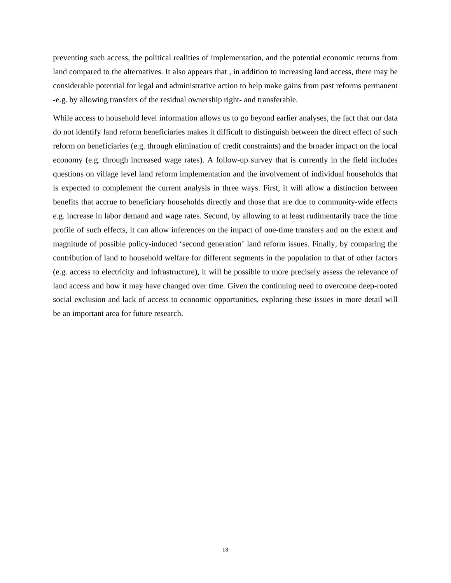preventing such access, the political realities of implementation, and the potential economic returns from land compared to the alternatives. It also appears that , in addition to increasing land access, there may be considerable potential for legal and administrative action to help make gains from past reforms permanent -e.g. by allowing transfers of the residual ownership right- and transferable.

While access to household level information allows us to go beyond earlier analyses, the fact that our data do not identify land reform beneficiaries makes it difficult to distinguish between the direct effect of such reform on beneficiaries (e.g. through elimination of credit constraints) and the broader impact on the local economy (e.g. through increased wage rates). A follow-up survey that is currently in the field includes questions on village level land reform implementation and the involvement of individual households that is expected to complement the current analysis in three ways. First, it will allow a distinction between benefits that accrue to beneficiary households directly and those that are due to community-wide effects e.g. increase in labor demand and wage rates. Second, by allowing to at least rudimentarily trace the time profile of such effects, it can allow inferences on the impact of one-time transfers and on the extent and magnitude of possible policy-induced 'second generation' land reform issues. Finally, by comparing the contribution of land to household welfare for different segments in the population to that of other factors (e.g. access to electricity and infrastructure), it will be possible to more precisely assess the relevance of land access and how it may have changed over time. Given the continuing need to overcome deep-rooted social exclusion and lack of access to economic opportunities, exploring these issues in more detail will be an important area for future research.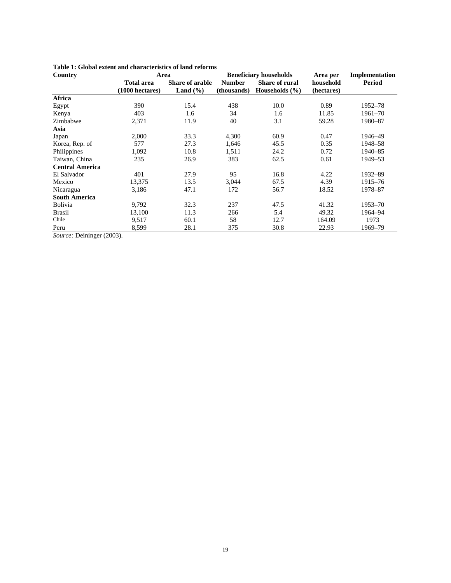| Country                | Area              |                        |               | <b>Beneficiary households</b> | Area per   | Implementation |
|------------------------|-------------------|------------------------|---------------|-------------------------------|------------|----------------|
|                        | <b>Total area</b> | <b>Share of arable</b> | <b>Number</b> | <b>Share of rural</b>         | household  | <b>Period</b>  |
|                        | $(1000$ hectares) | Land $(\% )$           | (thousands)   | Households $(\% )$            | (hectares) |                |
| Africa                 |                   |                        |               |                               |            |                |
| Egypt                  | 390               | 15.4                   | 438           | 10.0                          | 0.89       | 1952-78        |
| Kenya                  | 403               | 1.6                    | 34            | 1.6                           | 11.85      | $1961 - 70$    |
| Zimbabwe               | 2,371             | 11.9                   | 40            | 3.1                           | 59.28      | 1980-87        |
| Asia                   |                   |                        |               |                               |            |                |
| Japan                  | 2,000             | 33.3                   | 4,300         | 60.9                          | 0.47       | 1946-49        |
| Korea, Rep. of         | 577               | 27.3                   | 1,646         | 45.5                          | 0.35       | 1948-58        |
| Philippines            | 1,092             | 10.8                   | 1,511         | 24.2                          | 0.72       | $1940 - 85$    |
| Taiwan, China          | 235               | 26.9                   | 383           | 62.5                          | 0.61       | 1949-53        |
| <b>Central America</b> |                   |                        |               |                               |            |                |
| El Salvador            | 401               | 27.9                   | 95            | 16.8                          | 4.22       | 1932-89        |
| Mexico                 | 13,375            | 13.5                   | 3,044         | 67.5                          | 4.39       | 1915-76        |
| Nicaragua              | 3,186             | 47.1                   | 172           | 56.7                          | 18.52      | 1978-87        |
| <b>South America</b>   |                   |                        |               |                               |            |                |
| Bolivia                | 9,792             | 32.3                   | 237           | 47.5                          | 41.32      | 1953-70        |
| <b>Brasil</b>          | 13,100            | 11.3                   | 266           | 5.4                           | 49.32      | 1964-94        |
| Chile                  | 9,517             | 60.1                   | 58            | 12.7                          | 164.09     | 1973           |
| Peru                   | 8,599             | 28.1                   | 375           | 30.8                          | 22.93      | 1969–79        |

| Table 1: Global extent and characteristics of land reforms |  |  |  |  |  |  |  |  |
|------------------------------------------------------------|--|--|--|--|--|--|--|--|
|------------------------------------------------------------|--|--|--|--|--|--|--|--|

*Source:* Deininger (2003).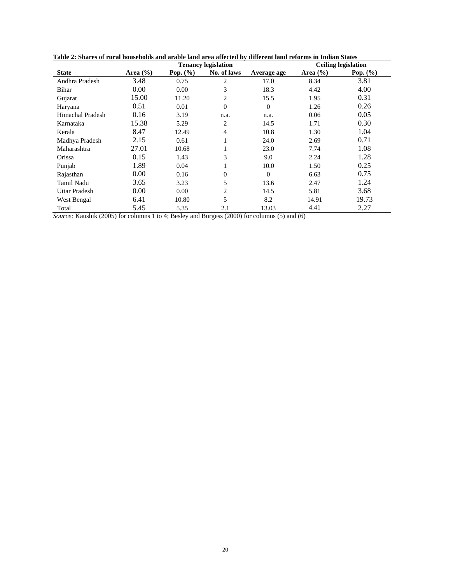| <b>Tenancy legislation</b><br><b>Ceiling legislation</b> |              |              |                |                |              |              |
|----------------------------------------------------------|--------------|--------------|----------------|----------------|--------------|--------------|
| <b>State</b>                                             | Area $(\% )$ | Pop. $(\% )$ | No. of laws    | Average age    | Area $(\% )$ | Pop. $(\% )$ |
| Andhra Pradesh                                           | 3.48         | 0.75         | 2              | 17.0           | 8.34         | 3.81         |
| Bihar                                                    | 0.00         | 0.00         | 3              | 18.3           | 4.42         | 4.00         |
| Gujarat                                                  | 15.00        | 11.20        | 2              | 15.5           | 1.95         | 0.31         |
| Haryana                                                  | 0.51         | 0.01         | $\overline{0}$ | $\overline{0}$ | 1.26         | 0.26         |
| Himachal Pradesh                                         | 0.16         | 3.19         | n.a.           | n.a.           | 0.06         | 0.05         |
| Karnataka                                                | 15.38        | 5.29         | 2              | 14.5           | 1.71         | 0.30         |
| Kerala                                                   | 8.47         | 12.49        | $\overline{4}$ | 10.8           | 1.30         | 1.04         |
| Madhya Pradesh                                           | 2.15         | 0.61         |                | 24.0           | 2.69         | 0.71         |
| Maharashtra                                              | 27.01        | 10.68        |                | 23.0           | 7.74         | 1.08         |
| Orissa                                                   | 0.15         | 1.43         | 3              | 9.0            | 2.24         | 1.28         |
| Punjab                                                   | 1.89         | 0.04         |                | 10.0           | 1.50         | 0.25         |
| Rajasthan                                                | 0.00         | 0.16         | $\overline{0}$ | $\Omega$       | 6.63         | 0.75         |
| Tamil Nadu                                               | 3.65         | 3.23         | 5              | 13.6           | 2.47         | 1.24         |
| Uttar Pradesh                                            | 0.00         | 0.00         | 2              | 14.5           | 5.81         | 3.68         |
| West Bengal                                              | 6.41         | 10.80        | 5              | 8.2            | 14.91        | 19.73        |
| Total                                                    | 5.45         | 5.35         | 2.1            | 13.03          | 4.41         | 2.27         |

**Table 2: Shares of rural households and arable land area affected by different land reforms in Indian States** 

*Source:* Kaushik (2005) for columns 1 to 4; Besley and Burgess (2000) for columns (5) and (6)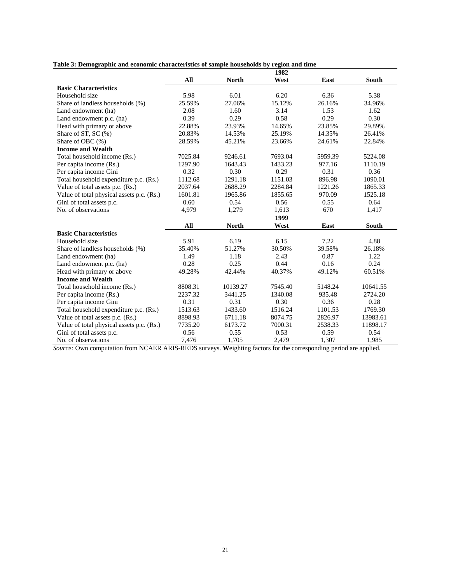| Table 3: Demographic and economic characteristics of sample households by region and time |  |  |
|-------------------------------------------------------------------------------------------|--|--|
|                                                                                           |  |  |

|                                           |         |              | 1982    |         |          |
|-------------------------------------------|---------|--------------|---------|---------|----------|
|                                           | All     | <b>North</b> | West    | East    | South    |
| <b>Basic Characteristics</b>              |         |              |         |         |          |
| Household size                            | 5.98    | 6.01         | 6.20    | 6.36    | 5.38     |
| Share of landless households (%)          | 25.59%  | 27.06%       | 15.12%  | 26.16%  | 34.96%   |
| Land endowment (ha)                       | 2.08    | 1.60         | 3.14    | 1.53    | 1.62     |
| Land endowment p.c. (ha)                  | 0.39    | 0.29         | 0.58    | 0.29    | 0.30     |
| Head with primary or above                | 22.88%  | 23.93%       | 14.65%  | 23.85%  | 29.89%   |
| Share of ST, SC (%)                       | 20.83%  | 14.53%       | 25.19%  | 14.35%  | 26.41%   |
| Share of OBC (%)                          | 28.59%  | 45.21%       | 23.66%  | 24.61%  | 22.84%   |
| <b>Income and Wealth</b>                  |         |              |         |         |          |
| Total household income (Rs.)              | 7025.84 | 9246.61      | 7693.04 | 5959.39 | 5224.08  |
| Per capita income (Rs.)                   | 1297.90 | 1643.43      | 1433.23 | 977.16  | 1110.19  |
| Per capita income Gini                    | 0.32    | 0.30         | 0.29    | 0.31    | 0.36     |
| Total household expenditure p.c. (Rs.)    | 1112.68 | 1291.18      | 1151.03 | 896.98  | 1090.01  |
| Value of total assets p.c. (Rs.)          | 2037.64 | 2688.29      | 2284.84 | 1221.26 | 1865.33  |
| Value of total physical assets p.c. (Rs.) | 1601.81 | 1965.86      | 1855.65 | 970.09  | 1525.18  |
| Gini of total assets p.c.                 | 0.60    | 0.54         | 0.56    | 0.55    | 0.64     |
| No. of observations                       | 4,979   | 1,279        | 1,613   | 670     | 1,417    |
|                                           |         |              | 1999    |         |          |
|                                           | All     | <b>North</b> | West    | East    | South    |
| <b>Basic Characteristics</b>              |         |              |         |         |          |
| Household size                            | 5.91    | 6.19         | 6.15    | 7.22    | 4.88     |
| Share of landless households (%)          | 35.40%  | 51.27%       | 30.50%  | 39.58%  | 26.18%   |
| Land endowment (ha)                       | 1.49    | 1.18         | 2.43    | 0.87    | 1.22     |
| Land endowment p.c. (ha)                  | 0.28    | 0.25         | 0.44    | 0.16    | 0.24     |
| Head with primary or above                | 49.28%  | 42.44%       | 40.37%  | 49.12%  | 60.51%   |
| <b>Income and Wealth</b>                  |         |              |         |         |          |
| Total household income (Rs.)              | 8808.31 | 10139.27     | 7545.40 | 5148.24 | 10641.55 |
| Per capita income (Rs.)                   | 2237.32 | 3441.25      | 1340.08 | 935.48  | 2724.20  |
| Per capita income Gini                    | 0.31    | 0.31         | 0.30    | 0.36    | 0.28     |
| Total household expenditure p.c. (Rs.)    | 1513.63 | 1433.60      | 1516.24 | 1101.53 | 1769.30  |
| Value of total assets p.c. (Rs.)          | 8898.93 | 6711.18      | 8074.75 | 2826.97 | 13983.61 |
| Value of total physical assets p.c. (Rs.) | 7735.20 | 6173.72      | 7000.31 | 2538.33 | 11898.17 |
| Gini of total assets p.c.                 | 0.56    | 0.55         | 0.53    | 0.59    | 0.54     |
| No. of observations                       | 7,476   | 1,705        | 2,479   | 1,307   | 1,985    |

*Source:* Own computation from NCAER ARIS-REDS surveys. **W**eighting factors for the corresponding period are applied.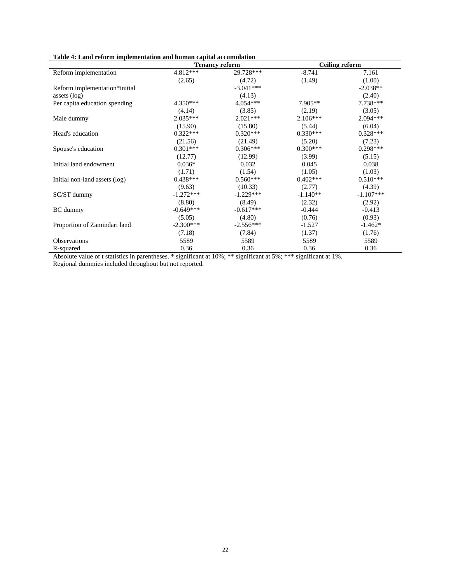**Table 4: Land reform implementation and human capital accumulation** 

|                               |             | <b>Tenancy reform</b> |            | <b>Ceiling reform</b> |
|-------------------------------|-------------|-----------------------|------------|-----------------------|
| Reform implementation         | $4.812***$  | 29.728***             | $-8.741$   | 7.161                 |
|                               | (2.65)      | (4.72)                | (1.49)     | (1.00)                |
| Reform implementation*initial |             | $-3.041***$           |            | $-2.038**$            |
| assets (log)                  |             | (4.13)                |            | (2.40)                |
| Per capita education spending | $4.350***$  | $4.054***$            | $7.905**$  | 7.738***              |
|                               | (4.14)      | (3.85)                | (2.19)     | (3.05)                |
| Male dummy                    | $2.035***$  | $2.021***$            | $2.106***$ | $2.094***$            |
|                               | (15.90)     | (15.80)               | (5.44)     | (6.04)                |
| Head's education              | $0.322***$  | $0.320***$            | $0.330***$ | $0.328***$            |
|                               | (21.56)     | (21.49)               | (5.20)     | (7.23)                |
| Spouse's education            | $0.301***$  | $0.306***$            | $0.300***$ | $0.298***$            |
|                               | (12.77)     | (12.99)               | (3.99)     | (5.15)                |
| Initial land endowment        | $0.036*$    | 0.032                 | 0.045      | 0.038                 |
|                               | (1.71)      | (1.54)                | (1.05)     | (1.03)                |
| Initial non-land assets (log) | $0.438***$  | $0.560***$            | $0.402***$ | $0.510***$            |
|                               | (9.63)      | (10.33)               | (2.77)     | (4.39)                |
| SC/ST dummy                   | $-1.272***$ | $-1.229***$           | $-1.140**$ | $-1.107***$           |
|                               | (8.80)      | (8.49)                | (2.32)     | (2.92)                |
| BC dummy                      | $-0.649***$ | $-0.617***$           | $-0.444$   | $-0.413$              |
|                               | (5.05)      | (4.80)                | (0.76)     | (0.93)                |
| Proportion of Zamindari land  | $-2.300***$ | $-2.556***$           | $-1.527$   | $-1.462*$             |
|                               | (7.18)      | (7.84)                | (1.37)     | (1.76)                |
| Observations                  | 5589        | 5589                  | 5589       | 5589                  |
| R-squared                     | 0.36        | 0.36                  | 0.36       | 0.36                  |

Absolute value of t statistics in parentheses. \* significant at 10%; \*\* significant at 5%; \*\*\* significant at 1%.

Regional dummies included throughout but not reported.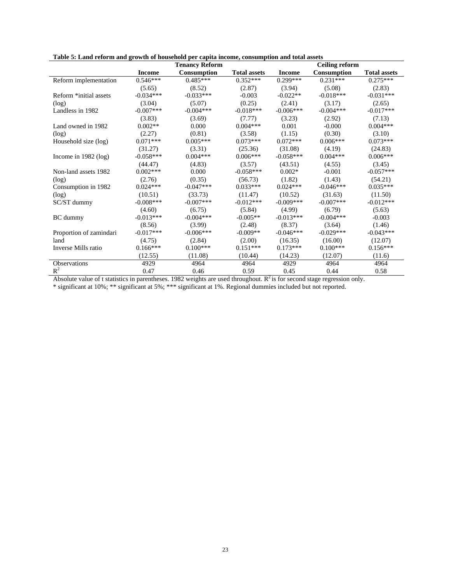|                         |               | <b>Tenancy Reform</b> |                     |               | <b>Ceiling reform</b> |                     |
|-------------------------|---------------|-----------------------|---------------------|---------------|-----------------------|---------------------|
|                         | <b>Income</b> | <b>Consumption</b>    | <b>Total assets</b> | <b>Income</b> | Consumption           | <b>Total assets</b> |
| Reform implementation   | $0.546***$    | $0.485***$            | $0.352***$          | $0.299***$    | $0.231***$            | $0.275***$          |
|                         | (5.65)        | (8.52)                | (2.87)              | (3.94)        | (5.08)                | (2.83)              |
| Reform *initial assets  | $-0.034***$   | $-0.033***$           | $-0.003$            | $-0.022**$    | $-0.018***$           | $-0.031***$         |
| (log)                   | (3.04)        | (5.07)                | (0.25)              | (2.41)        | (3.17)                | (2.65)              |
| Landless in 1982        | $-0.007***$   | $-0.004***$           | $-0.018***$         | $-0.006***$   | $-0.004***$           | $-0.017***$         |
|                         | (3.83)        | (3.69)                | (7.77)              | (3.23)        | (2.92)                | (7.13)              |
| Land owned in 1982      | $0.002**$     | 0.000                 | $0.004***$          | 0.001         | $-0.000$              | $0.004***$          |
| $(\log)$                | (2.27)        | (0.81)                | (3.58)              | (1.15)        | (0.30)                | (3.10)              |
| Household size (log)    | $0.071***$    | $0.005***$            | $0.073***$          | $0.072***$    | $0.006***$            | $0.073***$          |
|                         | (31.27)       | (3.31)                | (25.36)             | (31.08)       | (4.19)                | (24.83)             |
| Income in $1982$ (log)  | $-0.058***$   | $0.004***$            | $0.006***$          | $-0.058***$   | $0.004***$            | $0.006***$          |
|                         | (44.47)       | (4.83)                | (3.57)              | (43.51)       | (4.55)                | (3.45)              |
| Non-land assets 1982    | $0.002***$    | 0.000                 | $-0.058***$         | $0.002*$      | $-0.001$              | $-0.057***$         |
| (log)                   | (2.76)        | (0.35)                | (56.73)             | (1.82)        | (1.43)                | (54.21)             |
| Consumption in 1982     | $0.024***$    | $-0.047***$           | $0.033***$          | $0.024***$    | $-0.046***$           | $0.035***$          |
| (log)                   | (10.51)       | (33.73)               | (11.47)             | (10.52)       | (31.63)               | (11.50)             |
| SC/ST dummy             | $-0.008***$   | $-0.007***$           | $-0.012***$         | $-0.009***$   | $-0.007***$           | $-0.012***$         |
|                         | (4.60)        | (6.75)                | (5.84)              | (4.99)        | (6.79)                | (5.63)              |
| BC dummy                | $-0.013***$   | $-0.004***$           | $-0.005**$          | $-0.013***$   | $-0.004***$           | $-0.003$            |
|                         | (8.56)        | (3.99)                | (2.48)              | (8.37)        | (3.64)                | (1.46)              |
| Proportion of zamindari | $-0.017***$   | $-0.006***$           | $-0.009**$          | $-0.046***$   | $-0.029***$           | $-0.043***$         |
| land                    | (4.75)        | (2.84)                | (2.00)              | (16.35)       | (16.00)               | (12.07)             |
| Inverse Mills ratio     | $0.166***$    | $0.100***$            | $0.151***$          | $0.173***$    | $0.100***$            | $0.156***$          |
|                         | (12.55)       | (11.08)               | (10.44)             | (14.23)       | (12.07)               | (11.6)              |
| <b>Observations</b>     | 4929          | 4964                  | 4964                | 4929          | 4964                  | 4964                |
| $R^2$                   | 0.47          | 0.46                  | 0.59                | 0.45          | 0.44                  | 0.58                |

**Table 5: Land reform and growth of household per capita income, consumption and total assets** 

Absolute value of t statistics in parentheses. 1982 weights are used throughout.  $R^2$  is for second stage regression only.

\* significant at 10%; \*\* significant at 5%; \*\*\* significant at 1%. Regional dummies included but not reported.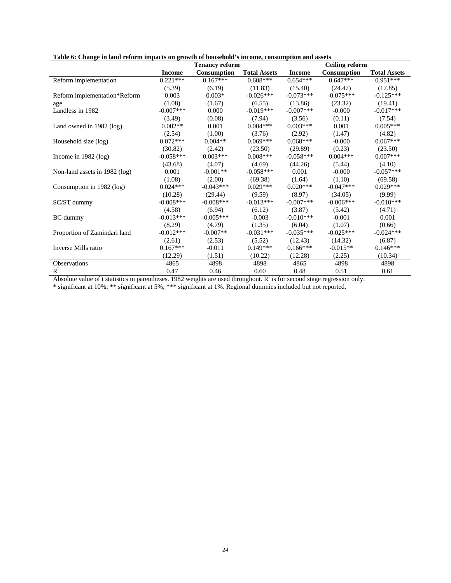**Table 6: Change in land reform impacts on growth of household's income, consumption and assets** 

|                               | <b>Tenancy reform</b> |                    |                     | <b>Ceiling reform</b> |             |                     |  |
|-------------------------------|-----------------------|--------------------|---------------------|-----------------------|-------------|---------------------|--|
|                               | <b>Income</b>         | <b>Consumption</b> | <b>Total Assets</b> | <b>Income</b>         | Consumption | <b>Total Assets</b> |  |
| Reform implementation         | $0.221***$            | $0.167***$         | $0.608***$          | $0.654***$            | $0.647***$  | $0.951***$          |  |
|                               | (5.39)                | (6.19)             | (11.83)             | (15.40)               | (24.47)     | (17.85)             |  |
| Reform implementation*Reform  | 0.003                 | $0.003*$           | $-0.026***$         | $-0.073***$           | $-0.075***$ | $-0.125***$         |  |
| age                           | (1.08)                | (1.67)             | (6.55)              | (13.86)               | (23.32)     | (19.41)             |  |
| Landless in 1982              | $-0.007***$           | 0.000              | $-0.019***$         | $-0.007***$           | $-0.000$    | $-0.017***$         |  |
|                               | (3.49)                | (0.08)             | (7.94)              | (3.56)                | (0.11)      | (7.54)              |  |
| Land owned in $1982$ (log)    | $0.002**$             | 0.001              | $0.004***$          | $0.003***$            | 0.001       | $0.005***$          |  |
|                               | (2.54)                | (1.00)             | (3.76)              | (2.92)                | (1.47)      | (4.82)              |  |
| Household size (log)          | $0.072***$            | $0.004**$          | $0.069***$          | $0.068***$            | $-0.000$    | $0.067***$          |  |
|                               | (30.82)               | (2.42)             | (23.50)             | (29.89)               | (0.23)      | (23.50)             |  |
| Income in $1982$ (log)        | $-0.058***$           | $0.003***$         | $0.008***$          | $-0.058***$           | $0.004***$  | $0.007***$          |  |
|                               | (43.68)               | (4.07)             | (4.69)              | (44.26)               | (5.44)      | (4.10)              |  |
| Non-land assets in 1982 (log) | 0.001                 | $-0.001**$         | $-0.058***$         | 0.001                 | $-0.000$    | $-0.057***$         |  |
|                               | (1.08)                | (2.00)             | (69.38)             | (1.64)                | (1.10)      | (69.58)             |  |
| Consumption in 1982 (log)     | $0.024***$            | $-0.043***$        | $0.029***$          | $0.020***$            | $-0.047***$ | $0.029***$          |  |
|                               | (10.28)               | (29.44)            | (9.59)              | (8.97)                | (34.05)     | (9.99)              |  |
| SC/ST dummy                   | $-0.008***$           | $-0.008***$        | $-0.013***$         | $-0.007***$           | $-0.006***$ | $-0.010***$         |  |
|                               | (4.58)                | (6.94)             | (6.12)              | (3.87)                | (5.42)      | (4.71)              |  |
| BC dummy                      | $-0.013***$           | $-0.005***$        | $-0.003$            | $-0.010***$           | $-0.001$    | 0.001               |  |
|                               | (8.29)                | (4.79)             | (1.35)              | (6.04)                | (1.07)      | (0.66)              |  |
| Proportion of Zamindari land  | $-0.012***$           | $-0.007**$         | $-0.031***$         | $-0.035***$           | $-0.025***$ | $-0.024***$         |  |
|                               | (2.61)                | (2.53)             | (5.52)              | (12.43)               | (14.32)     | (6.87)              |  |
| Inverse Mills ratio           | $0.167***$            | $-0.011$           | $0.149***$          | $0.166***$            | $-0.015**$  | $0.146***$          |  |
|                               | (12.29)               | (1.51)             | (10.22)             | (12.28)               | (2.25)      | (10.34)             |  |
| Observations                  | 4865                  | 4898               | 4898                | 4865                  | 4898        | 4898                |  |
| $R^2$                         | 0.47                  | 0.46               | 0.60                | 0.48                  | 0.51        | 0.61                |  |

Absolute value of t statistics in parentheses. 1982 weights are used throughout.  $R^2$  is for second stage regression only.

\* significant at 10%; \*\* significant at 5%; \*\*\* significant at 1%. Regional dummies included but not reported.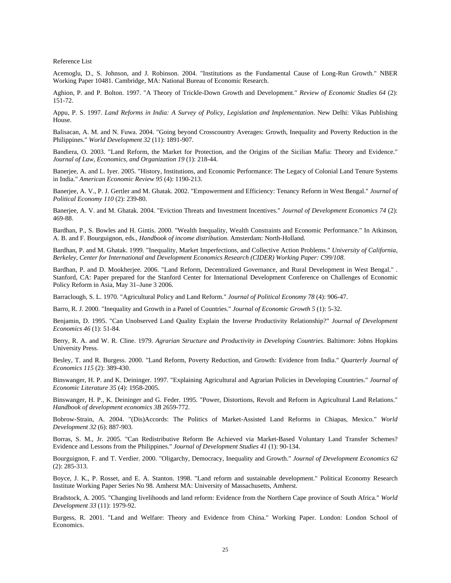Reference List

Acemoglu, D., S. Johnson, and J. Robinson. 2004. "Institutions as the Fundamental Cause of Long-Run Growth." NBER Working Paper 10481. Cambridge, MA: National Bureau of Economic Research.

Aghion, P. and P. Bolton. 1997. "A Theory of Trickle-Down Growth and Development." *Review of Economic Studies 64* (2): 151-72.

Appu, P. S. 1997. *Land Reforms in India: A Survey of Policy, Legislation and Implementation*. New Delhi: Vikas Publishing House.

Balisacan, A. M. and N. Fuwa. 2004. "Going beyond Crosscountry Averages: Growth, Inequality and Poverty Reduction in the Philippines." *World Development 32* (11): 1891-907.

Bandiera, O. 2003. "Land Reform, the Market for Protection, and the Origins of the Sicilian Mafia: Theory and Evidence." *Journal of Law, Economics, and Organization 19* (1): 218-44.

Banerjee, A. and L. Iyer. 2005. "History, Institutions, and Economic Performance: The Legacy of Colonial Land Tenure Systems in India." *American Economic Review 95* (4): 1190-213.

Banerjee, A. V., P. J. Gertler and M. Ghatak. 2002. "Empowerment and Efficiency: Tenancy Reform in West Bengal." *Journal of Political Economy 110* (2): 239-80.

Banerjee, A. V. and M. Ghatak. 2004. "Eviction Threats and Investment Incentives." *Journal of Development Economics 74* (2): 469-88.

Bardhan, P., S. Bowles and H. Gintis. 2000. "Wealth Inequality, Wealth Constraints and Economic Performance." In Atkinson, A. B. and F. Bourguignon, eds., *Handbook of income distribution*. Amsterdam: North-Holland.

Bardhan, P. and M. Ghatak. 1999. "Inequality, Market Imperfections, and Collective Action Problems." *University of California, Berkeley, Center for International and Development Economics Research (CIDER) Working Paper: C99/108*.

Bardhan, P. and D. Mookherjee. 2006. "Land Reform, Decentralized Governance, and Rural Development in West Bengal." . Stanford, CA: Paper prepared for the Stanford Center for International Development Conference on Challenges of Economic Policy Reform in Asia, May 31–June 3 2006.

Barraclough, S. L. 1970. "Agricultural Policy and Land Reform." *Journal of Political Economy 78* (4): 906-47.

Barro, R. J. 2000. "Inequality and Growth in a Panel of Countries." *Journal of Economic Growth 5* (1): 5-32.

Benjamin, D. 1995. "Can Unobserved Land Quality Explain the Inverse Productivity Relationship?" *Journal of Development Economics 46* (1): 51-84.

Berry, R. A. and W. R. Cline. 1979. *Agrarian Structure and Productivity in Developing Countries*. Baltimore: Johns Hopkins University Press.

Besley, T. and R. Burgess. 2000. "Land Reform, Poverty Reduction, and Growth: Evidence from India." *Quarterly Journal of Economics 115* (2): 389-430.

Binswanger, H. P. and K. Deininger. 1997. "Explaining Agricultural and Agrarian Policies in Developing Countries." *Journal of Economic Literature 35* (4): 1958-2005.

Binswanger, H. P., K. Deininger and G. Feder. 1995. "Power, Distortions, Revolt and Reform in Agricultural Land Relations." *Handbook of development economics 3B* 2659-772.

Bobrow-Strain, A. 2004. "(Dis)Accords: The Politics of Market-Assisted Land Reforms in Chiapas, Mexico." *World Development 32* (6): 887-903.

Borras, S. M., Jr. 2005. "Can Redistributive Reform Be Achieved via Market-Based Voluntary Land Transfer Schemes? Evidence and Lessons from the Philippines." *Journal of Development Studies 41* (1): 90-134.

Bourguignon, F. and T. Verdier. 2000. "Oligarchy, Democracy, Inequality and Growth." *Journal of Development Economics 62* (2): 285-313.

Boyce, J. K., P. Rosset, and E. A. Stanton. 1998. "Land reform and sustainable development." Political Economy Research Institute Working Paper Series No 98. Amherst MA: University of Massachusetts, Amherst.

Bradstock, A. 2005. "Changing livelihoods and land reform: Evidence from the Northern Cape province of South Africa." *World Development 33* (11): 1979-92.

Burgess, R. 2001. "Land and Welfare: Theory and Evidence from China." Working Paper. London: London School of Economics.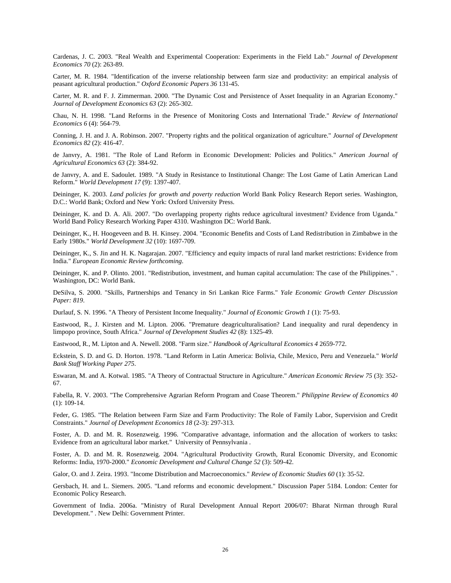Cardenas, J. C. 2003. "Real Wealth and Experimental Cooperation: Experiments in the Field Lab." *Journal of Development Economics 70* (2): 263-89.

Carter, M. R. 1984. "Identification of the inverse relationship between farm size and productivity: an empirical analysis of peasant agricultural production." *Oxford Economic Papers 36* 131-45.

Carter, M. R. and F. J. Zimmerman. 2000. "The Dynamic Cost and Persistence of Asset Inequality in an Agrarian Economy." *Journal of Development Economics 63* (2): 265-302.

Chau, N. H. 1998. "Land Reforms in the Presence of Monitoring Costs and International Trade." *Review of International Economics 6* (4): 564-79.

Conning, J. H. and J. A. Robinson. 2007. "Property rights and the political organization of agriculture." *Journal of Development Economics 82* (2): 416-47.

de Janvry, A. 1981. "The Role of Land Reform in Economic Development: Policies and Politics." *American Journal of Agricultural Economics 63* (2): 384-92.

de Janvry, A. and E. Sadoulet. 1989. "A Study in Resistance to Institutional Change: The Lost Game of Latin American Land Reform." *World Development 17* (9): 1397-407.

Deininger, K. 2003. *Land policies for growth and poverty reduction* World Bank Policy Research Report series. Washington, D.C.: World Bank; Oxford and New York: Oxford University Press.

Deininger, K. and D. A. Ali. 2007. "Do overlapping property rights reduce agricultural investment? Evidence from Uganda." World Band Policy Research Working Paper 4310. Washington DC: World Bank.

Deininger, K., H. Hoogeveen and B. H. Kinsey. 2004. "Economic Benefits and Costs of Land Redistribution in Zimbabwe in the Early 1980s." *World Development 32* (10): 1697-709.

Deininger, K., S. Jin and H. K. Nagarajan. 2007. "Efficiency and equity impacts of rural land market restrictions: Evidence from India." *European Economic Review forthcoming*.

Deininger, K. and P. Olinto. 2001. "Redistribution, investment, and human capital accumulation: The case of the Philippines." . Washington, DC: World Bank.

DeSilva, S. 2000. "Skills, Partnerships and Tenancy in Sri Lankan Rice Farms." *Yale Economic Growth Center Discussion Paper: 819*.

Durlauf, S. N. 1996. "A Theory of Persistent Income Inequality." *Journal of Economic Growth 1* (1): 75-93.

Eastwood, R., J. Kirsten and M. Lipton. 2006. "Premature deagriculturalisation? Land inequality and rural dependency in limpopo province, South Africa." *Journal of Development Studies 42* (8): 1325-49.

Eastwood, R., M. Lipton and A. Newell. 2008. "Farm size." *Handbook of Agricultural Economics 4* 2659-772.

Eckstein, S. D. and G. D. Horton. 1978. "Land Reform in Latin America: Bolivia, Chile, Mexico, Peru and Venezuela." *World Bank Staff Working Paper 275*.

Eswaran, M. and A. Kotwal. 1985. "A Theory of Contractual Structure in Agriculture." *American Economic Review 75* (3): 352- 67.

Fabella, R. V. 2003. "The Comprehensive Agrarian Reform Program and Coase Theorem." *Philippine Review of Economics 40* (1): 109-14.

Feder, G. 1985. "The Relation between Farm Size and Farm Productivity: The Role of Family Labor, Supervision and Credit Constraints." *Journal of Development Economics 18* (2-3): 297-313.

Foster, A. D. and M. R. Rosenzweig. 1996. "Comparative advantage, information and the allocation of workers to tasks: Evidence from an agricultural labor market." University of Pennsylvania .

Foster, A. D. and M. R. Rosenzweig. 2004. "Agricultural Productivity Growth, Rural Economic Diversity, and Economic Reforms: India, 1970-2000." *Economic Development and Cultural Change 52* (3): 509-42.

Galor, O. and J. Zeira. 1993. "Income Distribution and Macroeconomics." *Review of Economic Studies 60* (1): 35-52.

Gersbach, H. and L. Siemers. 2005. "Land reforms and economic development." Discussion Paper 5184. London: Center for Economic Policy Research.

Government of India. 2006a. "Ministry of Rural Development Annual Report 2006/07: Bharat Nirman through Rural Development." . New Delhi: Government Printer.